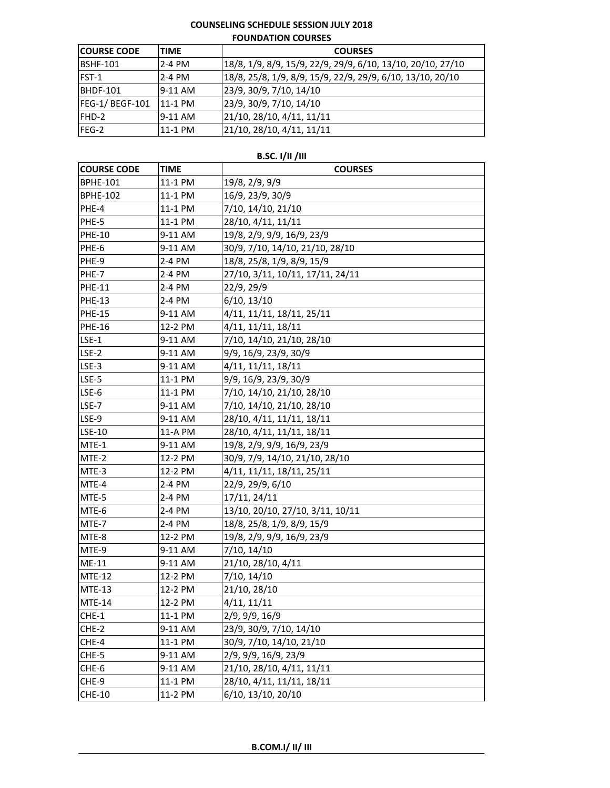## **COUNSELING SCHEDULE SESSION JULY 2018 FOUNDATION COURSES**

| <b>COURSE CODE</b> | <b>ITIME</b>   | <b>COURSES</b>                                              |
|--------------------|----------------|-------------------------------------------------------------|
| <b>IBSHF-101</b>   | 2-4 PM         | 18/8, 1/9, 8/9, 15/9, 22/9, 29/9, 6/10, 13/10, 20/10, 27/10 |
| FST-1              | 2-4 PM         | 18/8, 25/8, 1/9, 8/9, 15/9, 22/9, 29/9, 6/10, 13/10, 20/10  |
| <b>BHDF-101</b>    | $9-11$ AM      | 23/9, 30/9, 7/10, 14/10                                     |
| FEG-1/ BEGF-101    | <b>11-1 PM</b> | 23/9, 30/9, 7/10, 14/10                                     |
| FHD-2              | 9-11 AM        | 21/10, 28/10, 4/11, 11/11                                   |
| FEG-2              | 11-1 PM        | 21/10, 28/10, 4/11, 11/11                                   |

## **B.SC. I/II /III**

| <b>COURSE CODE</b> | <b>TIME</b> | <b>COURSES</b>                   |
|--------------------|-------------|----------------------------------|
| <b>BPHE-101</b>    | 11-1 PM     | 19/8, 2/9, 9/9                   |
| <b>BPHE-102</b>    | 11-1 PM     | 16/9, 23/9, 30/9                 |
| PHE-4              | 11-1 PM     | 7/10, 14/10, 21/10               |
| PHE-5              | 11-1 PM     | 28/10, 4/11, 11/11               |
| <b>PHE-10</b>      | 9-11 AM     | 19/8, 2/9, 9/9, 16/9, 23/9       |
| PHE-6              | 9-11 AM     | 30/9, 7/10, 14/10, 21/10, 28/10  |
| PHE-9              | 2-4 PM      | 18/8, 25/8, 1/9, 8/9, 15/9       |
| PHE-7              | 2-4 PM      | 27/10, 3/11, 10/11, 17/11, 24/11 |
| <b>PHE-11</b>      | 2-4 PM      | 22/9, 29/9                       |
| <b>PHE-13</b>      | 2-4 PM      | 6/10, 13/10                      |
| <b>PHE-15</b>      | 9-11 AM     | 4/11, 11/11, 18/11, 25/11        |
| <b>PHE-16</b>      | 12-2 PM     | 4/11, 11/11, 18/11               |
| $LSE-1$            | 9-11 AM     | 7/10, 14/10, 21/10, 28/10        |
| $LSE-2$            | 9-11 AM     | 9/9, 16/9, 23/9, 30/9            |
| LSE-3              | 9-11 AM     | 4/11, 11/11, 18/11               |
| LSE-5              | 11-1 PM     | 9/9, 16/9, 23/9, 30/9            |
| LSE-6              | 11-1 PM     | 7/10, 14/10, 21/10, 28/10        |
| LSE-7              | 9-11 AM     | 7/10, 14/10, 21/10, 28/10        |
| LSE-9              | 9-11 AM     | 28/10, 4/11, 11/11, 18/11        |
| LSE-10             | 11-A PM     | 28/10, 4/11, 11/11, 18/11        |
| MTE-1              | 9-11 AM     | 19/8, 2/9, 9/9, 16/9, 23/9       |
| MTE-2              | 12-2 PM     | 30/9, 7/9, 14/10, 21/10, 28/10   |
| MTE-3              | 12-2 PM     | 4/11, 11/11, 18/11, 25/11        |
| MTE-4              | 2-4 PM      | 22/9, 29/9, 6/10                 |
| MTE-5              | 2-4 PM      | 17/11, 24/11                     |
| MTE-6              | 2-4 PM      | 13/10, 20/10, 27/10, 3/11, 10/11 |
| MTE-7              | 2-4 PM      | 18/8, 25/8, 1/9, 8/9, 15/9       |
| MTE-8              | 12-2 PM     | 19/8, 2/9, 9/9, 16/9, 23/9       |
| MTE-9              | 9-11 AM     | 7/10, 14/10                      |
| ME-11              | 9-11 AM     | 21/10, 28/10, 4/11               |
| <b>MTE-12</b>      | 12-2 PM     | 7/10, 14/10                      |
| <b>MTE-13</b>      | 12-2 PM     | 21/10, 28/10                     |
| <b>MTE-14</b>      | 12-2 PM     | 4/11, 11/11                      |
| CHE-1              | 11-1 PM     | 2/9, 9/9, 16/9                   |
| CHE-2              | 9-11 AM     | 23/9, 30/9, 7/10, 14/10          |
| CHE-4              | 11-1 PM     | 30/9, 7/10, 14/10, 21/10         |
| CHE-5              | 9-11 AM     | 2/9, 9/9, 16/9, 23/9             |
| CHE-6              | 9-11 AM     | 21/10, 28/10, 4/11, 11/11        |
| CHE-9              | 11-1 PM     | 28/10, 4/11, 11/11, 18/11        |
| <b>CHE-10</b>      | 11-2 PM     | 6/10, 13/10, 20/10               |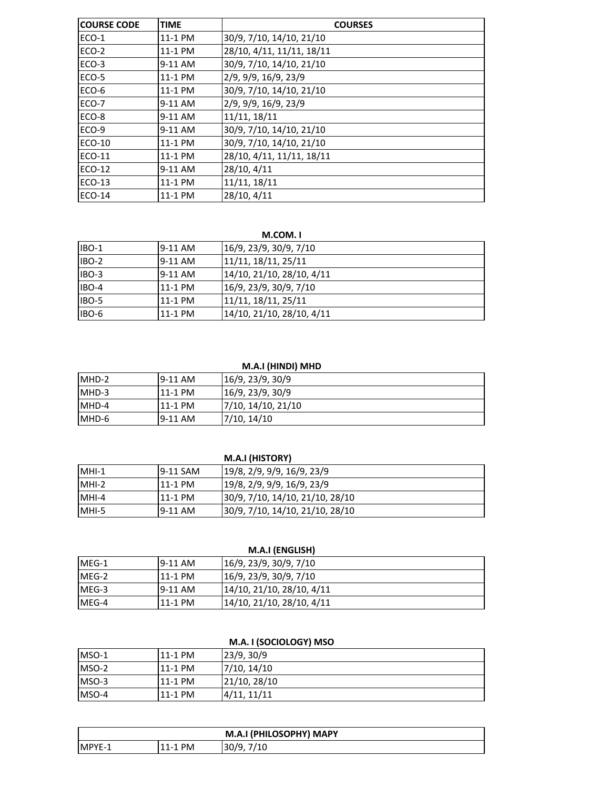| <b>COURSE CODE</b> | <b>TIME</b> | <b>COURSES</b>            |
|--------------------|-------------|---------------------------|
| ECO-1              | 11-1 PM     | 30/9, 7/10, 14/10, 21/10  |
| ECO-2              | 11-1 PM     | 28/10, 4/11, 11/11, 18/11 |
| ECO-3              | 9-11 AM     | 30/9, 7/10, 14/10, 21/10  |
| ECO-5              | 11-1 PM     | 2/9, 9/9, 16/9, 23/9      |
| ECO-6              | 11-1 PM     | 30/9, 7/10, 14/10, 21/10  |
| ECO-7              | 9-11 AM     | 2/9, 9/9, 16/9, 23/9      |
| ECO-8              | 9-11 AM     | 11/11, 18/11              |
| ECO-9              | 9-11 AM     | 30/9, 7/10, 14/10, 21/10  |
| <b>ECO-10</b>      | 11-1 PM     | 30/9, 7/10, 14/10, 21/10  |
| <b>ECO-11</b>      | 11-1 PM     | 28/10, 4/11, 11/11, 18/11 |
| ECO-12             | 9-11 AM     | 28/10, 4/11               |
| <b>ECO-13</b>      | 11-1 PM     | 11/11, 18/11              |
| ECO-14             | 11-1 PM     | 28/10, 4/11               |

#### **M.COM. I**

| <b>IBO-1</b> | 9-11 AM | 16/9, 23/9, 30/9, 7/10    |
|--------------|---------|---------------------------|
| IBO-2        | 9-11 AM | 11/11, 18/11, 25/11       |
| IBO-3        | 9-11 AM | 14/10, 21/10, 28/10, 4/11 |
| IBO-4        | 11-1 PM | 16/9, 23/9, 30/9, 7/10    |
| IBO-5        | 11-1 PM | 11/11, 18/11, 25/11       |
| IBO-6        | 11-1 PM | 14/10, 21/10, 28/10, 4/11 |

#### **M.A.I (HINDI) MHD**

| IMHD-2 | $9-11$ AM | 16/9, 23/9, 30/9   |
|--------|-----------|--------------------|
| MHD-3  | 11-1 PM   | 16/9, 23/9, 30/9   |
| MHD-4  | 11-1 PM   | 7/10, 14/10, 21/10 |
| IMHD-6 | 9-11 AM   | 7/10, 14/10        |

|         |          | M.A.I (HISTORY)                 |
|---------|----------|---------------------------------|
| $MHI-1$ | 9-11 SAM | 19/8, 2/9, 9/9, 16/9, 23/9      |
| $MHI-2$ | 11-1 PM  | 19/8, 2/9, 9/9, 16/9, 23/9      |
| MHI-4   | 11-1 PM  | 30/9, 7/10, 14/10, 21/10, 28/10 |
| MHI-5   | 9-11 AM  | 30/9, 7/10, 14/10, 21/10, 28/10 |

| M.A.I (ENGLISH) |           |                           |
|-----------------|-----------|---------------------------|
| IMEG-1          | $9-11$ AM | 16/9, 23/9, 30/9, 7/10    |
| IMEG-2          | 11-1 PM   | 16/9, 23/9, 30/9, 7/10    |
| IMEG-3          | $9-11$ AM | 14/10, 21/10, 28/10, 4/11 |
| IMEG-4          | 11-1 PM   | 14/10, 21/10, 28/10, 4/11 |

| M.A. I (SOCIOLOGY) MSO |         |              |  |
|------------------------|---------|--------------|--|
| $IMSO-1$               | 11-1 PM | 23/9, 30/9   |  |
| $IMSO-2$               | 11-1 PM | 7/10, 14/10  |  |
| $IMSO-3$               | 11-1 PM | 21/10, 28/10 |  |
| MSO-4                  | 11-1 PM | 4/11, 11/11  |  |

| M.A.I (PHILOSOPHY) MAPY |           |               |
|-------------------------|-----------|---------------|
| MPYE-1                  | $11-1$ PM | 30/9.<br>7/10 |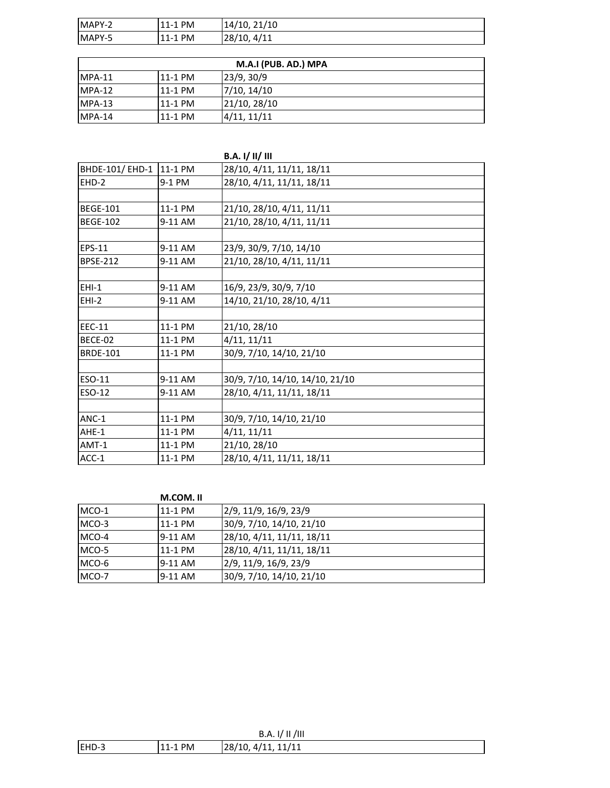| MAPY-2 | <b>PM</b><br>$11 - 1$ | 21/10<br>14/10. |
|--------|-----------------------|-----------------|
| MAPY-5 | . PM<br>$11 - 1$      | 4/11<br>28/10,  |

| M.A.I (PUB. AD.) MPA |         |              |
|----------------------|---------|--------------|
| $IMPA-11$            | 11-1 PM | 23/9, 30/9   |
| $IMPA-12$            | 11-1 PM | 7/10, 14/10  |
| $IMPA-13$            | 11-1 PM | 21/10, 28/10 |
| $IMPA-14$            | 11-1 PM | 4/11, 11/11  |

|                 |         | <b>B.A. I/ II/ III</b>          |
|-----------------|---------|---------------------------------|
| BHDE-101/ EHD-1 | 11-1 PM | 28/10, 4/11, 11/11, 18/11       |
| $EHD-2$         | 9-1 PM  | 28/10, 4/11, 11/11, 18/11       |
|                 |         |                                 |
| <b>BEGE-101</b> | 11-1 PM | 21/10, 28/10, 4/11, 11/11       |
| <b>BEGE-102</b> | 9-11 AM | 21/10, 28/10, 4/11, 11/11       |
|                 |         |                                 |
| <b>EPS-11</b>   | 9-11 AM | 23/9, 30/9, 7/10, 14/10         |
| <b>BPSE-212</b> | 9-11 AM | 21/10, 28/10, 4/11, 11/11       |
|                 |         |                                 |
| $EHI-1$         | 9-11 AM | 16/9, 23/9, 30/9, 7/10          |
| $EHI-2$         | 9-11 AM | 14/10, 21/10, 28/10, 4/11       |
|                 |         |                                 |
| EEC-11          | 11-1 PM | 21/10, 28/10                    |
| BECE-02         | 11-1 PM | 4/11, 11/11                     |
| <b>BRDE-101</b> | 11-1 PM | 30/9, 7/10, 14/10, 21/10        |
|                 |         |                                 |
| <b>ESO-11</b>   | 9-11 AM | 30/9, 7/10, 14/10, 14/10, 21/10 |
| ESO-12          | 9-11 AM | 28/10, 4/11, 11/11, 18/11       |
|                 |         |                                 |
| ANC-1           | 11-1 PM | 30/9, 7/10, 14/10, 21/10        |
| AHE-1           | 11-1 PM | 4/11, 11/11                     |
| AMT-1           | 11-1 PM | 21/10, 28/10                    |
| ACC-1           | 11-1 PM | 28/10, 4/11, 11/11, 18/11       |

|       | M.COM.II |                           |
|-------|----------|---------------------------|
| MCO-1 | 11-1 PM  | 2/9, 11/9, 16/9, 23/9     |
| MCO-3 | 11-1 PM  | 30/9, 7/10, 14/10, 21/10  |
| MCO-4 | 9-11 AM  | 28/10, 4/11, 11/11, 18/11 |
| MCO-5 | 11-1 PM  | 28/10, 4/11, 11/11, 18/11 |

MCO-6 9-11 AM 2/9, 11/9, 16/9, 23/9 MCO-7 9-11 AM 30/9, 7/10, 14/10, 21/10

|        |         | /III<br>1/11<br>B.A.  |
|--------|---------|-----------------------|
| IEHD-3 | 11-1 PM | .4/11.11/11<br>28/10. |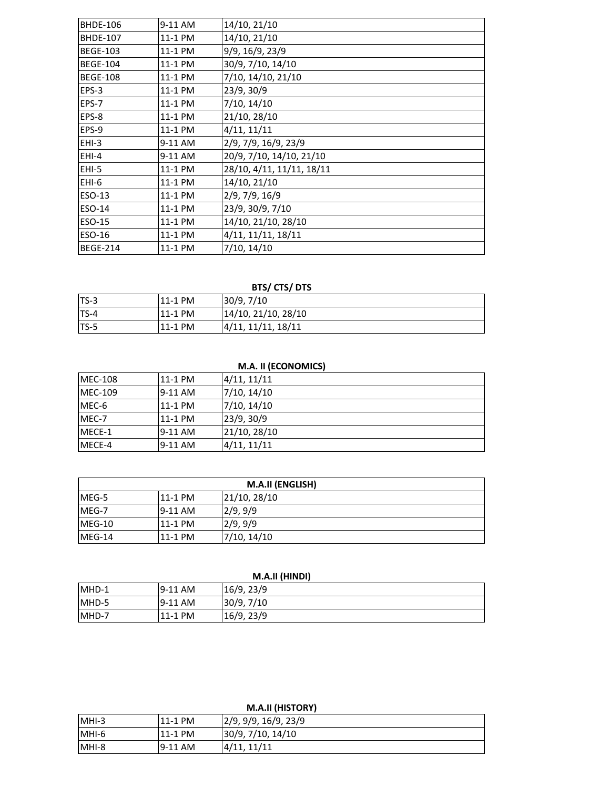| <b>BHDE-106</b> | 9-11 AM | 14/10, 21/10              |
|-----------------|---------|---------------------------|
| <b>BHDE-107</b> | 11-1 PM | 14/10, 21/10              |
| <b>BEGE-103</b> | 11-1 PM | 9/9, 16/9, 23/9           |
| <b>BEGE-104</b> | 11-1 PM | 30/9, 7/10, 14/10         |
| <b>BEGE-108</b> | 11-1 PM | 7/10, 14/10, 21/10        |
| EPS-3           | 11-1 PM | 23/9, 30/9                |
| EPS-7           | 11-1 PM | 7/10, 14/10               |
| EPS-8           | 11-1 PM | 21/10, 28/10              |
| EPS-9           | 11-1 PM | 4/11, 11/11               |
| $EHI-3$         | 9-11 AM | 2/9, 7/9, 16/9, 23/9      |
| $EHI-4$         | 9-11 AM | 20/9, 7/10, 14/10, 21/10  |
| $EHI-5$         | 11-1 PM | 28/10, 4/11, 11/11, 18/11 |
| EHI-6           | 11-1 PM | 14/10, 21/10              |
| ESO-13          | 11-1 PM | 2/9, 7/9, 16/9            |
| <b>ESO-14</b>   | 11-1 PM | 23/9, 30/9, 7/10          |
| ESO-15          | 11-1 PM | 14/10, 21/10, 28/10       |
| ESO-16          | 11-1 PM | 4/11, 11/11, 18/11        |
| <b>BEGE-214</b> | 11-1 PM | 7/10, 14/10               |

## **BTS/ CTS/ DTS**

| $ITS-3$ | 11-1 PM | 30/9, 7/10          |
|---------|---------|---------------------|
| $TS-4$  | 11-1 PM | 14/10, 21/10, 28/10 |
| ITS-5   | 11-1 PM | 4/11, 11/11, 18/11  |

## **M.A. II (ECONOMICS)**

| <b>MEC-108</b> | 11-1 PM | 4/11, 11/11  |
|----------------|---------|--------------|
| <b>MEC-109</b> | 9-11 AM | 7/10, 14/10  |
| MEC-6          | 11-1 PM | 7/10, 14/10  |
| MEC-7          | 11-1 PM | 23/9, 30/9   |
| MECE-1         | 9-11 AM | 21/10, 28/10 |
| MECE-4         | 9-11 AM | 4/11, 11/11  |

| <b>M.A.II (ENGLISH)</b> |         |              |
|-------------------------|---------|--------------|
| IMEG-5                  | 11-1 PM | 21/10, 28/10 |
| MEG-7                   | 9-11 AM | 2/9, 9/9     |
| $MEG-10$                | 11-1 PM | 2/9, 9/9     |
| $MEG-14$                | 11-1 PM | 7/10, 14/10  |

| M.A.II (HINDI) |         |            |  |
|----------------|---------|------------|--|
| MHD-1          | 9-11 AM | 16/9, 23/9 |  |
| MHD-5          | 9-11 AM | 30/9, 7/10 |  |
| MHD-7          | 11-1 PM | 16/9, 23/9 |  |

| <b>M.A.II (HISTORY)</b> |         |                      |
|-------------------------|---------|----------------------|
| MHI-3                   | 11-1 PM | 2/9, 9/9, 16/9, 23/9 |
| MHI-6                   | 11-1 PM | 30/9, 7/10, 14/10    |
| MHI-8                   | 9-11 AM | 4/11, 11/11          |

#### **M.A.II (HISTORY)**